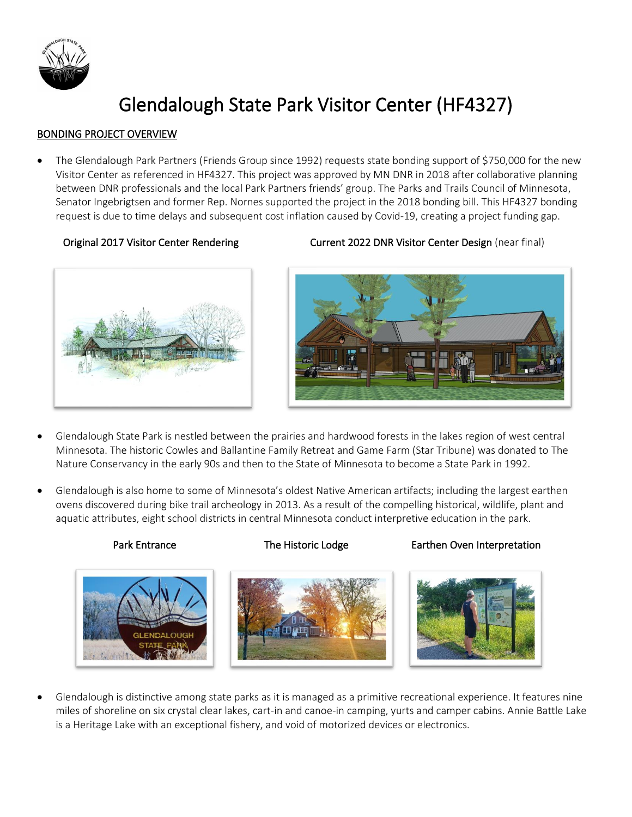

# Glendalough State Park Visitor Center (HF4327)

# BONDING PROJECT OVERVIEW

• The Glendalough Park Partners (Friends Group since 1992) requests state bonding support of \$750,000 for the new Visitor Center as referenced in HF4327. This project was approved by MN DNR in 2018 after collaborative planning between DNR professionals and the local Park Partners friends' group. The Parks and Trails Council of Minnesota, Senator Ingebrigtsen and former Rep. Nornes supported the project in the 2018 bonding bill. This HF4327 bonding request is due to time delays and subsequent cost inflation caused by Covid-19, creating a project funding gap.



# Original 2017 Visitor Center Rendering Current 2022 DNR Visitor Center Design (near final)



- Glendalough State Park is nestled between the prairies and hardwood forests in the lakes region of west central Minnesota. The historic Cowles and Ballantine Family Retreat and Game Farm (Star Tribune) was donated to The Nature Conservancy in the early 90s and then to the State of Minnesota to become a State Park in 1992.
- Glendalough is also home to some of Minnesota's oldest Native American artifacts; including the largest earthen ovens discovered during bike trail archeology in 2013. As a result of the compelling historical, wildlife, plant and aquatic attributes, eight school districts in central Minnesota conduct interpretive education in the park.

# Park Entrance The Historic Lodge Earthen Oven Interpretation



• Glendalough is distinctive among state parks as it is managed as a primitive recreational experience. It features nine miles of shoreline on six crystal clear lakes, cart-in and canoe-in camping, yurts and camper cabins. Annie Battle Lake is a Heritage Lake with an exceptional fishery, and void of motorized devices or electronics.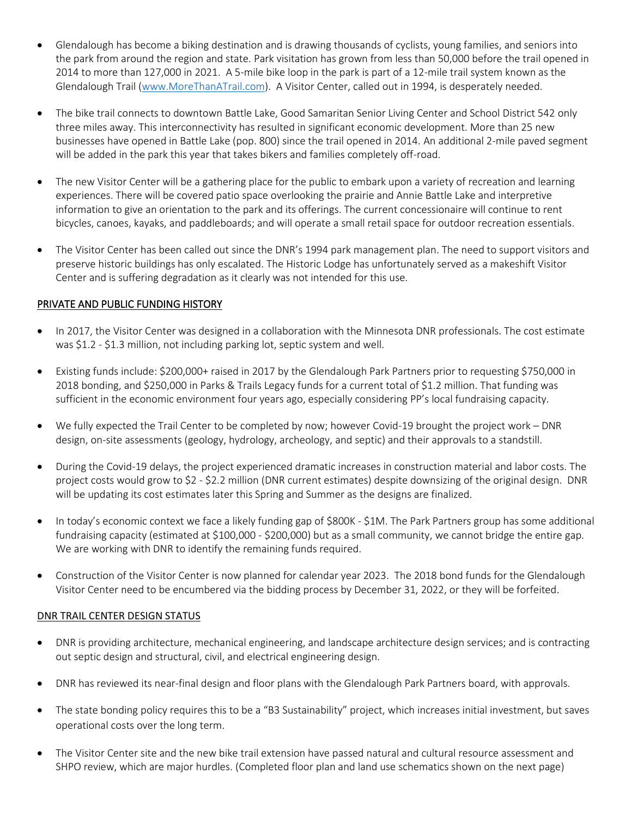- Glendalough has become a biking destination and is drawing thousands of cyclists, young families, and seniors into the park from around the region and state. Park visitation has grown from less than 50,000 before the trail opened in 2014 to more than 127,000 in 2021. A 5-mile bike loop in the park is part of a 12-mile trail system known as the Glendalough Trail [\(www.MoreThanATrail.com\)](http://www.morethanatrail.com/). A Visitor Center, called out in 1994, is desperately needed.
- The bike trail connects to downtown Battle Lake, Good Samaritan Senior Living Center and School District 542 only three miles away. This interconnectivity has resulted in significant economic development. More than 25 new businesses have opened in Battle Lake (pop. 800) since the trail opened in 2014. An additional 2-mile paved segment will be added in the park this year that takes bikers and families completely off-road.
- The new Visitor Center will be a gathering place for the public to embark upon a variety of recreation and learning experiences. There will be covered patio space overlooking the prairie and Annie Battle Lake and interpretive information to give an orientation to the park and its offerings. The current concessionaire will continue to rent bicycles, canoes, kayaks, and paddleboards; and will operate a small retail space for outdoor recreation essentials.
- The Visitor Center has been called out since the DNR's 1994 park management plan. The need to support visitors and preserve historic buildings has only escalated. The Historic Lodge has unfortunately served as a makeshift Visitor Center and is suffering degradation as it clearly was not intended for this use.

# PRIVATE AND PUBLIC FUNDING HISTORY

- In 2017, the Visitor Center was designed in a collaboration with the Minnesota DNR professionals. The cost estimate was \$1.2 - \$1.3 million, not including parking lot, septic system and well.
- Existing funds include: \$200,000+ raised in 2017 by the Glendalough Park Partners prior to requesting \$750,000 in 2018 bonding, and \$250,000 in Parks & Trails Legacy funds for a current total of \$1.2 million. That funding was sufficient in the economic environment four years ago, especially considering PP's local fundraising capacity.
- We fully expected the Trail Center to be completed by now; however Covid-19 brought the project work DNR design, on-site assessments (geology, hydrology, archeology, and septic) and their approvals to a standstill.
- During the Covid-19 delays, the project experienced dramatic increases in construction material and labor costs. The project costs would grow to \$2 - \$2.2 million (DNR current estimates) despite downsizing of the original design. DNR will be updating its cost estimates later this Spring and Summer as the designs are finalized.
- In today's economic context we face a likely funding gap of \$800K \$1M. The Park Partners group has some additional fundraising capacity (estimated at \$100,000 - \$200,000) but as a small community, we cannot bridge the entire gap. We are working with DNR to identify the remaining funds required.
- Construction of the Visitor Center is now planned for calendar year 2023. The 2018 bond funds for the Glendalough Visitor Center need to be encumbered via the bidding process by December 31, 2022, or they will be forfeited.

### DNR TRAIL CENTER DESIGN STATUS

- DNR is providing architecture, mechanical engineering, and landscape architecture design services; and is contracting out septic design and structural, civil, and electrical engineering design.
- DNR has reviewed its near-final design and floor plans with the Glendalough Park Partners board, with approvals.
- The state bonding policy requires this to be a "B3 Sustainability" project, which increases initial investment, but saves operational costs over the long term.
- The Visitor Center site and the new bike trail extension have passed natural and cultural resource assessment and SHPO review, which are major hurdles. (Completed floor plan and land use schematics shown on the next page)